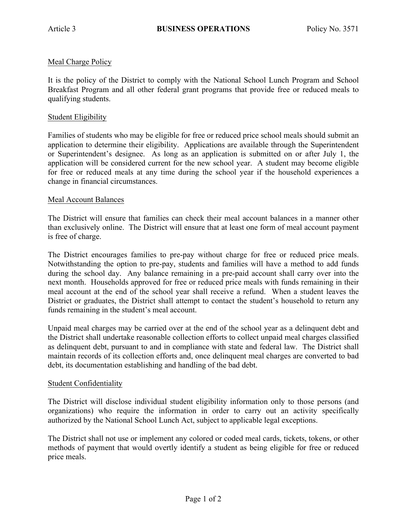# Meal Charge Policy

It is the policy of the District to comply with the National School Lunch Program and School Breakfast Program and all other federal grant programs that provide free or reduced meals to qualifying students.

### Student Eligibility

Families of students who may be eligible for free or reduced price school meals should submit an application to determine their eligibility. Applications are available through the Superintendent or Superintendent's designee. As long as an application is submitted on or after July 1, the application will be considered current for the new school year. A student may become eligible for free or reduced meals at any time during the school year if the household experiences a change in financial circumstances.

#### Meal Account Balances

The District will ensure that families can check their meal account balances in a manner other than exclusively online. The District will ensure that at least one form of meal account payment is free of charge.

The District encourages families to pre-pay without charge for free or reduced price meals. Notwithstanding the option to pre-pay, students and families will have a method to add funds during the school day. Any balance remaining in a pre-paid account shall carry over into the next month. Households approved for free or reduced price meals with funds remaining in their meal account at the end of the school year shall receive a refund. When a student leaves the District or graduates, the District shall attempt to contact the student's household to return any funds remaining in the student's meal account.

Unpaid meal charges may be carried over at the end of the school year as a delinquent debt and the District shall undertake reasonable collection efforts to collect unpaid meal charges classified as delinquent debt, pursuant to and in compliance with state and federal law. The District shall maintain records of its collection efforts and, once delinquent meal charges are converted to bad debt, its documentation establishing and handling of the bad debt.

### Student Confidentiality

The District will disclose individual student eligibility information only to those persons (and organizations) who require the information in order to carry out an activity specifically authorized by the National School Lunch Act, subject to applicable legal exceptions.

The District shall not use or implement any colored or coded meal cards, tickets, tokens, or other methods of payment that would overtly identify a student as being eligible for free or reduced price meals.